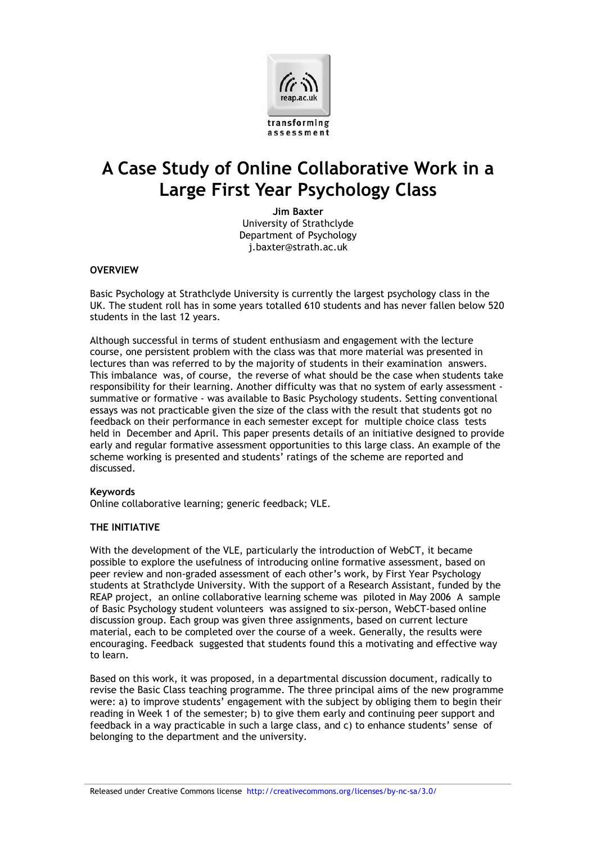

# A Case Study of Online Collaborative Work in a Large First Year Psychology Class

Jim Baxter University of Strathclyde Department of Psychology j.baxter@strath.ac.uk

# **OVERVIEW**

Basic Psychology at Strathclyde University is currently the largest psychology class in the UK. The student roll has in some years totalled 610 students and has never fallen below 520 students in the last 12 years.

Although successful in terms of student enthusiasm and engagement with the lecture course, one persistent problem with the class was that more material was presented in lectures than was referred to by the majority of students in their examination answers. This imbalance was, of course, the reverse of what should be the case when students take responsibility for their learning. Another difficulty was that no system of early assessment summative or formative - was available to Basic Psychology students. Setting conventional essays was not practicable given the size of the class with the result that students got no feedback on their performance in each semester except for multiple choice class tests held in December and April. This paper presents details of an initiative designed to provide early and regular formative assessment opportunities to this large class. An example of the scheme working is presented and students' ratings of the scheme are reported and discussed.

# Keywords

Online collaborative learning; generic feedback; VLE.

# THE INITIATIVE

With the development of the VLE, particularly the introduction of WebCT, it became possible to explore the usefulness of introducing online formative assessment, based on peer review and non-graded assessment of each other's work, by First Year Psychology students at Strathclyde University. With the support of a Research Assistant, funded by the REAP project, an online collaborative learning scheme was piloted in May 2006 A sample of Basic Psychology student volunteers was assigned to six-person, WebCT-based online discussion group. Each group was given three assignments, based on current lecture material, each to be completed over the course of a week. Generally, the results were encouraging. Feedback suggested that students found this a motivating and effective way to learn.

Based on this work, it was proposed, in a departmental discussion document, radically to revise the Basic Class teaching programme. The three principal aims of the new programme were: a) to improve students' engagement with the subject by obliging them to begin their reading in Week 1 of the semester; b) to give them early and continuing peer support and feedback in a way practicable in such a large class, and c) to enhance students' sense of belonging to the department and the university.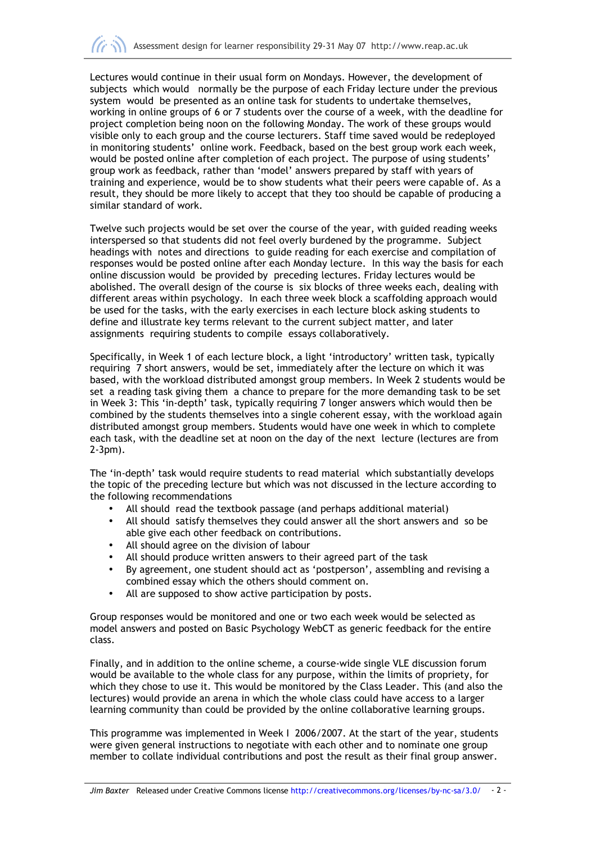Lectures would continue in their usual form on Mondays. However, the development of subjects which would normally be the purpose of each Friday lecture under the previous system would be presented as an online task for students to undertake themselves, working in online groups of 6 or 7 students over the course of a week, with the deadline for project completion being noon on the following Monday. The work of these groups would visible only to each group and the course lecturers. Staff time saved would be redeployed in monitoring students' online work. Feedback, based on the best group work each week, would be posted online after completion of each project. The purpose of using students' group work as feedback, rather than 'model' answers prepared by staff with years of training and experience, would be to show students what their peers were capable of. As a result, they should be more likely to accept that they too should be capable of producing a similar standard of work.

Twelve such projects would be set over the course of the year, with guided reading weeks interspersed so that students did not feel overly burdened by the programme. Subject headings with notes and directions to guide reading for each exercise and compilation of responses would be posted online after each Monday lecture. In this way the basis for each online discussion would be provided by preceding lectures. Friday lectures would be abolished. The overall design of the course is six blocks of three weeks each, dealing with different areas within psychology. In each three week block a scaffolding approach would be used for the tasks, with the early exercises in each lecture block asking students to define and illustrate key terms relevant to the current subject matter, and later assignments requiring students to compile essays collaboratively.

Specifically, in Week 1 of each lecture block, a light 'introductory' written task, typically requiring 7 short answers, would be set, immediately after the lecture on which it was based, with the workload distributed amongst group members. In Week 2 students would be set a reading task giving them a chance to prepare for the more demanding task to be set in Week 3: This 'in-depth' task, typically requiring 7 longer answers which would then be combined by the students themselves into a single coherent essay, with the workload again distributed amongst group members. Students would have one week in which to complete each task, with the deadline set at noon on the day of the next lecture (lectures are from 2-3pm).

The 'in-depth' task would require students to read material which substantially develops the topic of the preceding lecture but which was not discussed in the lecture according to the following recommendations

- All should read the textbook passage (and perhaps additional material)
- All should satisfy themselves they could answer all the short answers and so be able give each other feedback on contributions.
- All should agree on the division of labour
- All should produce written answers to their agreed part of the task
- By agreement, one student should act as 'postperson', assembling and revising a combined essay which the others should comment on.
- All are supposed to show active participation by posts.

Group responses would be monitored and one or two each week would be selected as model answers and posted on Basic Psychology WebCT as generic feedback for the entire class.

Finally, and in addition to the online scheme, a course-wide single VLE discussion forum would be available to the whole class for any purpose, within the limits of propriety, for which they chose to use it. This would be monitored by the Class Leader. This (and also the lectures) would provide an arena in which the whole class could have access to a larger learning community than could be provided by the online collaborative learning groups.

This programme was implemented in Week I 2006/2007. At the start of the year, students were given general instructions to negotiate with each other and to nominate one group member to collate individual contributions and post the result as their final group answer.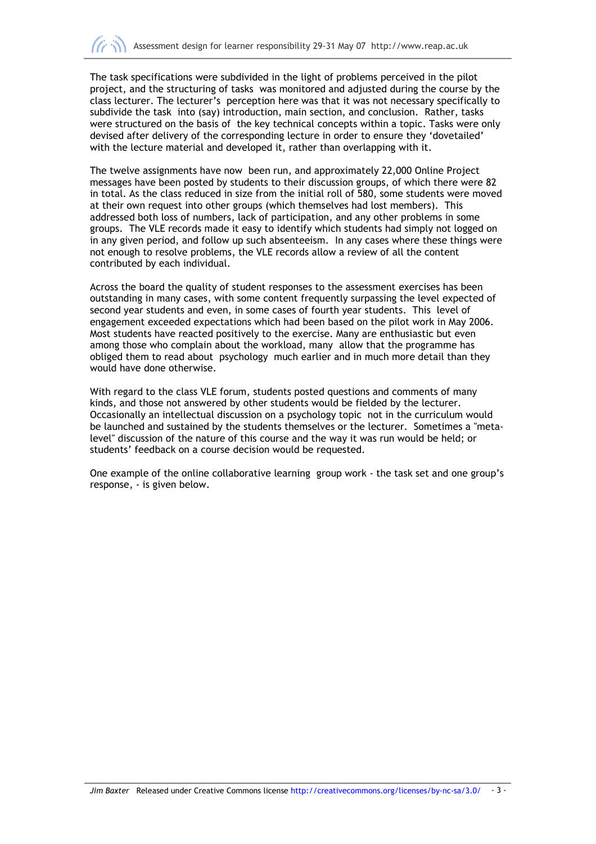The task specifications were subdivided in the light of problems perceived in the pilot project, and the structuring of tasks was monitored and adjusted during the course by the class lecturer. The lecturer's perception here was that it was not necessary specifically to subdivide the task into (say) introduction, main section, and conclusion. Rather, tasks were structured on the basis of the key technical concepts within a topic. Tasks were only devised after delivery of the corresponding lecture in order to ensure they 'dovetailed' with the lecture material and developed it, rather than overlapping with it.

The twelve assignments have now been run, and approximately 22,000 Online Project messages have been posted by students to their discussion groups, of which there were 82 in total. As the class reduced in size from the initial roll of 580, some students were moved at their own request into other groups (which themselves had lost members). This addressed both loss of numbers, lack of participation, and any other problems in some groups. The VLE records made it easy to identify which students had simply not logged on in any given period, and follow up such absenteeism. In any cases where these things were not enough to resolve problems, the VLE records allow a review of all the content contributed by each individual.

Across the board the quality of student responses to the assessment exercises has been outstanding in many cases, with some content frequently surpassing the level expected of second year students and even, in some cases of fourth year students. This level of engagement exceeded expectations which had been based on the pilot work in May 2006. Most students have reacted positively to the exercise. Many are enthusiastic but even among those who complain about the workload, many allow that the programme has obliged them to read about psychology much earlier and in much more detail than they would have done otherwise.

With regard to the class VLE forum, students posted questions and comments of many kinds, and those not answered by other students would be fielded by the lecturer. Occasionally an intellectual discussion on a psychology topic not in the curriculum would be launched and sustained by the students themselves or the lecturer. Sometimes a "metalevel" discussion of the nature of this course and the way it was run would be held; or students' feedback on a course decision would be requested.

One example of the online collaborative learning group work - the task set and one group's response, - is given below.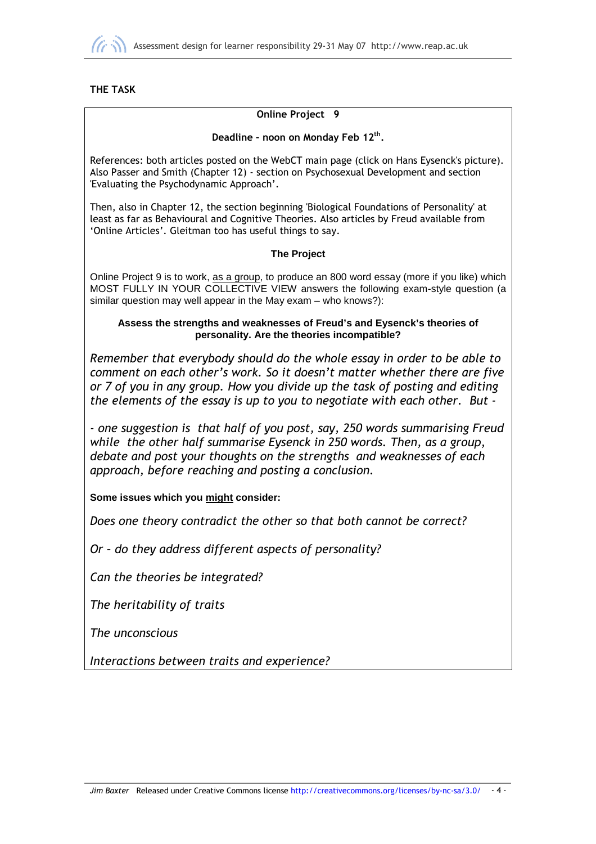

# THE TASK

# Online Project 9

## Deadline - noon on Monday Feb 12<sup>th</sup>.

References: both articles posted on the WebCT main page (click on Hans Eysenck's picture). Also Passer and Smith (Chapter 12) - section on Psychosexual Development and section 'Evaluating the Psychodynamic Approach'.

Then, also in Chapter 12, the section beginning 'Biological Foundations of Personality' at least as far as Behavioural and Cognitive Theories. Also articles by Freud available from 'Online Articles'. Gleitman too has useful things to say.

## **The Project**

Online Project 9 is to work, as a group, to produce an 800 word essay (more if you like) which MOST FULLY IN YOUR COLLECTIVE VIEW answers the following exam-style question (a similar question may well appear in the May exam – who knows?):

## **Assess the strengths and weaknesses of Freud's and Eysenck's theories of personality. Are the theories incompatible?**

Remember that everybody should do the whole essay in order to be able to comment on each other's work. So it doesn't matter whether there are five or 7 of you in any group. How you divide up the task of posting and editing the elements of the essay is up to you to negotiate with each other. But -

- one suggestion is that half of you post, say, 250 words summarising Freud while the other half summarise Eysenck in 250 words. Then, as a group, debate and post your thoughts on the strengths and weaknesses of each approach, before reaching and posting a conclusion.

**Some issues which you might consider:** 

Does one theory contradict the other so that both cannot be correct?

Or – do they address different aspects of personality?

Can the theories be integrated?

The heritability of traits

The unconscious

Interactions between traits and experience?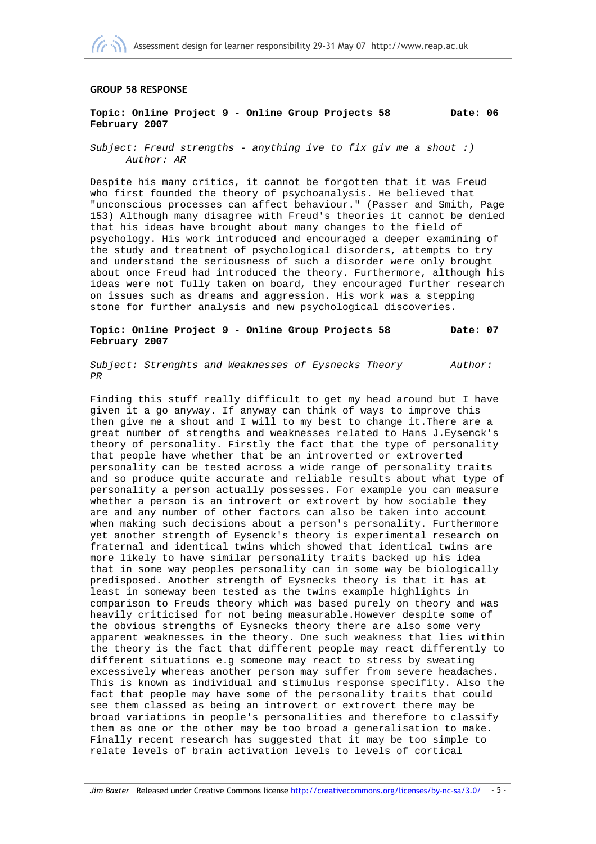

#### GROUP 58 RESPONSE

## **Topic: Online Project 9 - Online Group Projects 58 Date: 06 February 2007**

Subject: Freud strengths - anything ive to fix giv me a shout :) Author: AR

Despite his many critics, it cannot be forgotten that it was Freud who first founded the theory of psychoanalysis. He believed that "unconscious processes can affect behaviour." (Passer and Smith, Page 153) Although many disagree with Freud's theories it cannot be denied that his ideas have brought about many changes to the field of psychology. His work introduced and encouraged a deeper examining of the study and treatment of psychological disorders, attempts to try and understand the seriousness of such a disorder were only brought about once Freud had introduced the theory. Furthermore, although his ideas were not fully taken on board, they encouraged further research on issues such as dreams and aggression. His work was a stepping stone for further analysis and new psychological discoveries.

## **Topic: Online Project 9 - Online Group Projects 58 Date: 07 February 2007**

Subject: Strenghts and Weaknesses of Eysnecks Theory author: PR

Finding this stuff really difficult to get my head around but I have given it a go anyway. If anyway can think of ways to improve this then give me a shout and I will to my best to change it.There are a great number of strengths and weaknesses related to Hans J.Eysenck's theory of personality. Firstly the fact that the type of personality that people have whether that be an introverted or extroverted personality can be tested across a wide range of personality traits and so produce quite accurate and reliable results about what type of personality a person actually possesses. For example you can measure whether a person is an introvert or extrovert by how sociable they are and any number of other factors can also be taken into account when making such decisions about a person's personality. Furthermore yet another strength of Eysenck's theory is experimental research on fraternal and identical twins which showed that identical twins are more likely to have similar personality traits backed up his idea that in some way peoples personality can in some way be biologically predisposed. Another strength of Eysnecks theory is that it has at least in someway been tested as the twins example highlights in comparison to Freuds theory which was based purely on theory and was heavily criticised for not being measurable.However despite some of the obvious strengths of Eysnecks theory there are also some very apparent weaknesses in the theory. One such weakness that lies within the theory is the fact that different people may react differently to different situations e.g someone may react to stress by sweating excessively whereas another person may suffer from severe headaches. This is known as individual and stimulus response specifity. Also the fact that people may have some of the personality traits that could see them classed as being an introvert or extrovert there may be broad variations in people's personalities and therefore to classify them as one or the other may be too broad a generalisation to make. Finally recent research has suggested that it may be too simple to relate levels of brain activation levels to levels of cortical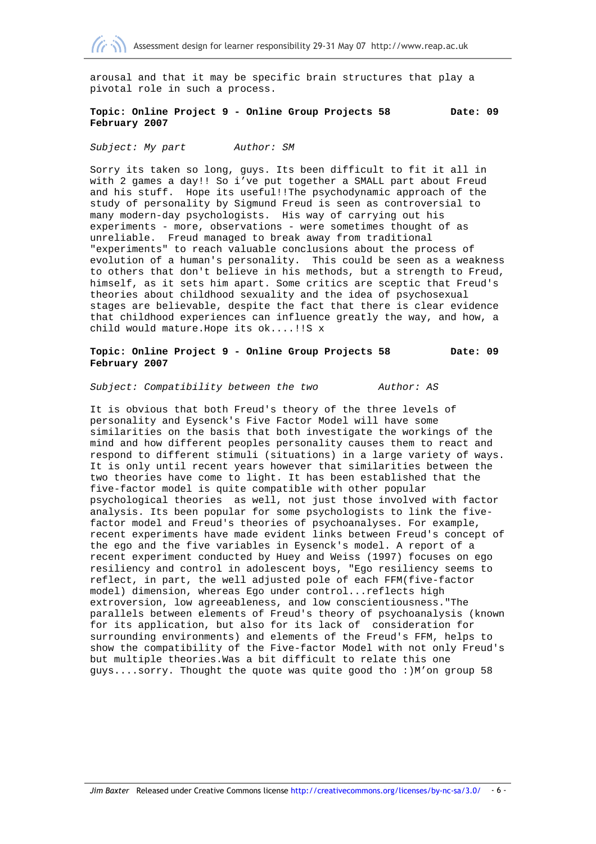

arousal and that it may be specific brain structures that play a pivotal role in such a process.

#### **Topic: Online Project 9 - Online Group Projects 58 Date: 09 February 2007**

Subject: My part Author: SM

Sorry its taken so long, guys. Its been difficult to fit it all in with 2 games a day!! So i've put together a SMALL part about Freud and his stuff. Hope its useful!!The psychodynamic approach of the study of personality by Sigmund Freud is seen as controversial to many modern-day psychologists. His way of carrying out his experiments - more, observations - were sometimes thought of as unreliable. Freud managed to break away from traditional "experiments" to reach valuable conclusions about the process of evolution of a human's personality. This could be seen as a weakness to others that don't believe in his methods, but a strength to Freud, himself, as it sets him apart. Some critics are sceptic that Freud's theories about childhood sexuality and the idea of psychosexual stages are believable, despite the fact that there is clear evidence that childhood experiences can influence greatly the way, and how, a child would mature.Hope its ok....!!S x

## **Topic: Online Project 9 - Online Group Projects 58 Date: 09 February 2007**

#### Subject: Compatibility between the two  $\overline{A}$  Author: AS

It is obvious that both Freud's theory of the three levels of personality and Eysenck's Five Factor Model will have some similarities on the basis that both investigate the workings of the mind and how different peoples personality causes them to react and respond to different stimuli (situations) in a large variety of ways. It is only until recent years however that similarities between the two theories have come to light. It has been established that the five-factor model is quite compatible with other popular psychological theories as well, not just those involved with factor analysis. Its been popular for some psychologists to link the fivefactor model and Freud's theories of psychoanalyses. For example, recent experiments have made evident links between Freud's concept of the ego and the five variables in Eysenck's model. A report of a recent experiment conducted by Huey and Weiss (1997) focuses on ego resiliency and control in adolescent boys, "Ego resiliency seems to reflect, in part, the well adjusted pole of each FFM(five-factor model) dimension, whereas Ego under control...reflects high extroversion, low agreeableness, and low conscientiousness."The parallels between elements of Freud's theory of psychoanalysis (known for its application, but also for its lack of consideration for surrounding environments) and elements of the Freud's FFM, helps to show the compatibility of the Five-factor Model with not only Freud's but multiple theories.Was a bit difficult to relate this one guys....sorry. Thought the quote was quite good tho :)M'on group 58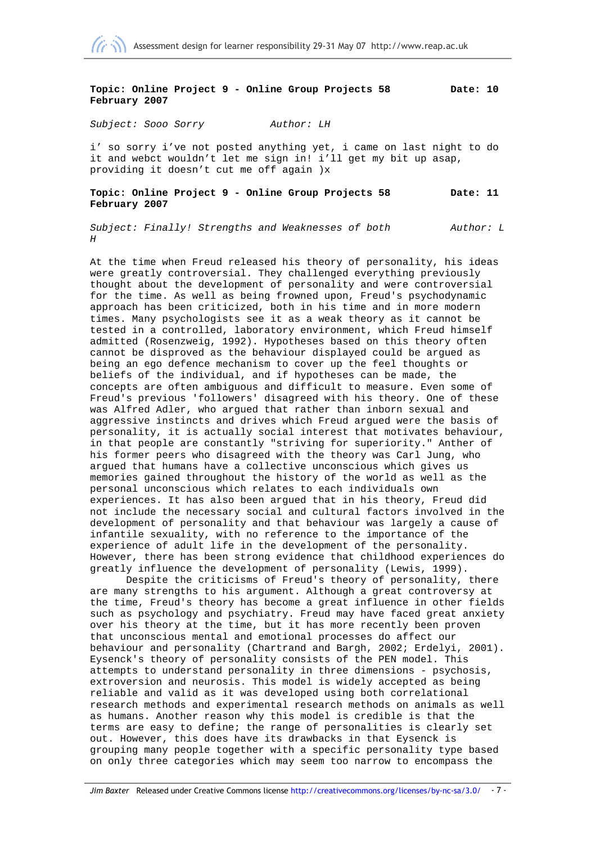

## **Topic: Online Project 9 - Online Group Projects 58 Date: 10 February 2007**

Subject: Sooo Sorry Author: LH

i' so sorry i've not posted anything yet, i came on last night to do it and webct wouldn't let me sign in! i'll get my bit up asap, providing it doesn't cut me off again )x

## **Topic: Online Project 9 - Online Group Projects 58 Date: 11 February 2007**

Subject: Finally! Strengths and Weaknesses of both Author: L  $H$ 

At the time when Freud released his theory of personality, his ideas were greatly controversial. They challenged everything previously thought about the development of personality and were controversial for the time. As well as being frowned upon, Freud's psychodynamic approach has been criticized, both in his time and in more modern times. Many psychologists see it as a weak theory as it cannot be tested in a controlled, laboratory environment, which Freud himself admitted (Rosenzweig, 1992). Hypotheses based on this theory often cannot be disproved as the behaviour displayed could be argued as being an ego defence mechanism to cover up the feel thoughts or beliefs of the individual, and if hypotheses can be made, the concepts are often ambiguous and difficult to measure. Even some of Freud's previous 'followers' disagreed with his theory. One of these was Alfred Adler, who argued that rather than inborn sexual and aggressive instincts and drives which Freud argued were the basis of personality, it is actually social interest that motivates behaviour, in that people are constantly "striving for superiority." Anther of his former peers who disagreed with the theory was Carl Jung, who argued that humans have a collective unconscious which gives us memories gained throughout the history of the world as well as the personal unconscious which relates to each individuals own experiences. It has also been argued that in his theory, Freud did not include the necessary social and cultural factors involved in the development of personality and that behaviour was largely a cause of infantile sexuality, with no reference to the importance of the experience of adult life in the development of the personality. However, there has been strong evidence that childhood experiences do greatly influence the development of personality (Lewis, 1999).

 Despite the criticisms of Freud's theory of personality, there are many strengths to his argument. Although a great controversy at the time, Freud's theory has become a great influence in other fields such as psychology and psychiatry. Freud may have faced great anxiety over his theory at the time, but it has more recently been proven that unconscious mental and emotional processes do affect our behaviour and personality (Chartrand and Bargh, 2002; Erdelyi, 2001). Eysenck's theory of personality consists of the PEN model. This attempts to understand personality in three dimensions - psychosis, extroversion and neurosis. This model is widely accepted as being reliable and valid as it was developed using both correlational research methods and experimental research methods on animals as well as humans. Another reason why this model is credible is that the terms are easy to define; the range of personalities is clearly set out. However, this does have its drawbacks in that Eysenck is grouping many people together with a specific personality type based on only three categories which may seem too narrow to encompass the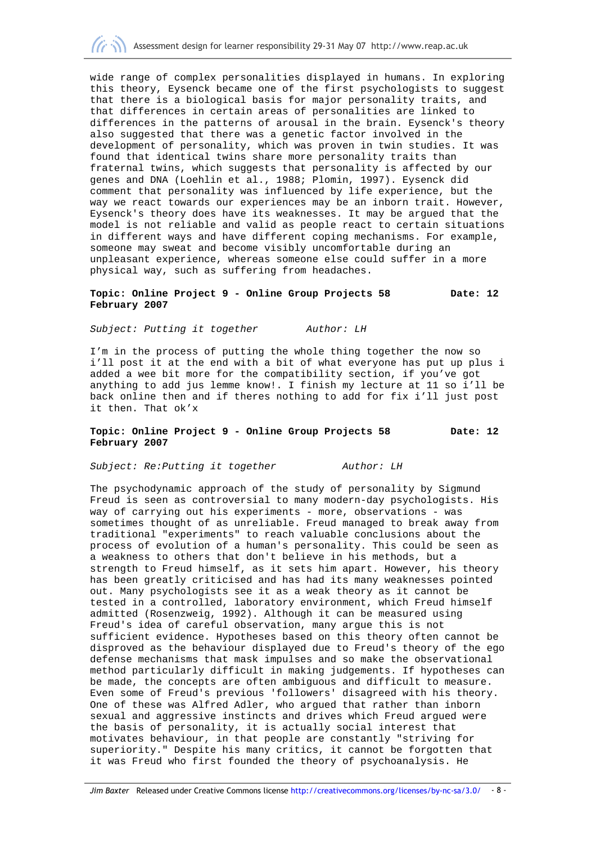

wide range of complex personalities displayed in humans. In exploring this theory, Eysenck became one of the first psychologists to suggest that there is a biological basis for major personality traits, and that differences in certain areas of personalities are linked to differences in the patterns of arousal in the brain. Eysenck's theory also suggested that there was a genetic factor involved in the development of personality, which was proven in twin studies. It was found that identical twins share more personality traits than fraternal twins, which suggests that personality is affected by our genes and DNA (Loehlin et al., 1988; Plomin, 1997). Eysenck did comment that personality was influenced by life experience, but the way we react towards our experiences may be an inborn trait. However, Eysenck's theory does have its weaknesses. It may be argued that the model is not reliable and valid as people react to certain situations in different ways and have different coping mechanisms. For example, someone may sweat and become visibly uncomfortable during an unpleasant experience, whereas someone else could suffer in a more physical way, such as suffering from headaches.

#### **Topic: Online Project 9 - Online Group Projects 58 Date: 12 February 2007**

Subject: Putting it together Author: LH

I'm in the process of putting the whole thing together the now so i'll post it at the end with a bit of what everyone has put up plus i added a wee bit more for the compatibility section, if you've got anything to add jus lemme know!. I finish my lecture at 11 so i'll be back online then and if theres nothing to add for fix i'll just post it then. That ok'x

#### **Topic: Online Project 9 - Online Group Projects 58 Date: 12 February 2007**

Subject: Re: Putting it together Author: LH

The psychodynamic approach of the study of personality by Sigmund Freud is seen as controversial to many modern-day psychologists. His way of carrying out his experiments - more, observations - was sometimes thought of as unreliable. Freud managed to break away from traditional "experiments" to reach valuable conclusions about the process of evolution of a human's personality. This could be seen as a weakness to others that don't believe in his methods, but a strength to Freud himself, as it sets him apart. However, his theory has been greatly criticised and has had its many weaknesses pointed out. Many psychologists see it as a weak theory as it cannot be tested in a controlled, laboratory environment, which Freud himself admitted (Rosenzweig, 1992). Although it can be measured using Freud's idea of careful observation, many argue this is not sufficient evidence. Hypotheses based on this theory often cannot be disproved as the behaviour displayed due to Freud's theory of the ego defense mechanisms that mask impulses and so make the observational method particularly difficult in making judgements. If hypotheses can be made, the concepts are often ambiguous and difficult to measure. Even some of Freud's previous 'followers' disagreed with his theory. One of these was Alfred Adler, who argued that rather than inborn sexual and aggressive instincts and drives which Freud argued were the basis of personality, it is actually social interest that motivates behaviour, in that people are constantly "striving for superiority." Despite his many critics, it cannot be forgotten that it was Freud who first founded the theory of psychoanalysis. He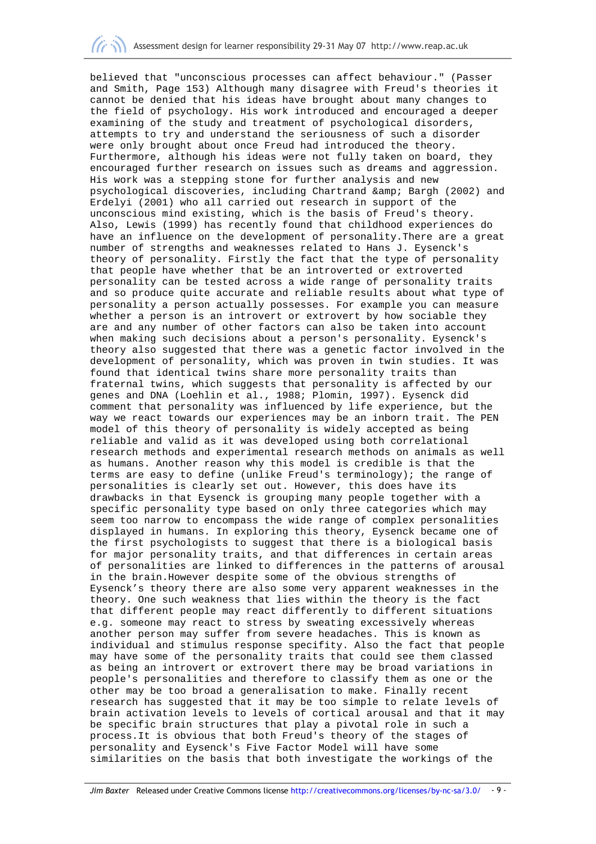believed that "unconscious processes can affect behaviour." (Passer and Smith, Page 153) Although many disagree with Freud's theories it cannot be denied that his ideas have brought about many changes to the field of psychology. His work introduced and encouraged a deeper examining of the study and treatment of psychological disorders, attempts to try and understand the seriousness of such a disorder were only brought about once Freud had introduced the theory. Furthermore, although his ideas were not fully taken on board, they encouraged further research on issues such as dreams and aggression. His work was a stepping stone for further analysis and new psychological discoveries, including Chartrand & amp; Bargh (2002) and Erdelyi (2001) who all carried out research in support of the unconscious mind existing, which is the basis of Freud's theory. Also, Lewis (1999) has recently found that childhood experiences do have an influence on the development of personality.There are a great number of strengths and weaknesses related to Hans J. Eysenck's theory of personality. Firstly the fact that the type of personality that people have whether that be an introverted or extroverted personality can be tested across a wide range of personality traits and so produce quite accurate and reliable results about what type of personality a person actually possesses. For example you can measure whether a person is an introvert or extrovert by how sociable they are and any number of other factors can also be taken into account when making such decisions about a person's personality. Eysenck's theory also suggested that there was a genetic factor involved in the development of personality, which was proven in twin studies. It was found that identical twins share more personality traits than fraternal twins, which suggests that personality is affected by our genes and DNA (Loehlin et al., 1988; Plomin, 1997). Eysenck did comment that personality was influenced by life experience, but the way we react towards our experiences may be an inborn trait. The PEN model of this theory of personality is widely accepted as being reliable and valid as it was developed using both correlational research methods and experimental research methods on animals as well as humans. Another reason why this model is credible is that the terms are easy to define (unlike Freud's terminology); the range of personalities is clearly set out. However, this does have its drawbacks in that Eysenck is grouping many people together with a specific personality type based on only three categories which may seem too narrow to encompass the wide range of complex personalities displayed in humans. In exploring this theory, Eysenck became one of the first psychologists to suggest that there is a biological basis for major personality traits, and that differences in certain areas of personalities are linked to differences in the patterns of arousal in the brain.However despite some of the obvious strengths of Eysenck's theory there are also some very apparent weaknesses in the theory. One such weakness that lies within the theory is the fact that different people may react differently to different situations e.g. someone may react to stress by sweating excessively whereas another person may suffer from severe headaches. This is known as individual and stimulus response specifity. Also the fact that people may have some of the personality traits that could see them classed as being an introvert or extrovert there may be broad variations in people's personalities and therefore to classify them as one or the other may be too broad a generalisation to make. Finally recent research has suggested that it may be too simple to relate levels of brain activation levels to levels of cortical arousal and that it may be specific brain structures that play a pivotal role in such a process.It is obvious that both Freud's theory of the stages of personality and Eysenck's Five Factor Model will have some similarities on the basis that both investigate the workings of the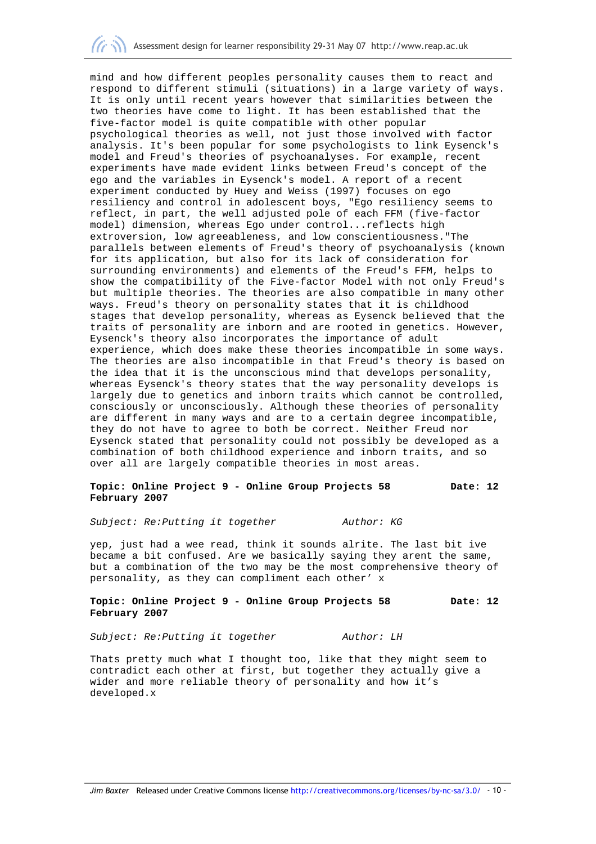mind and how different peoples personality causes them to react and respond to different stimuli (situations) in a large variety of ways. It is only until recent years however that similarities between the two theories have come to light. It has been established that the five-factor model is quite compatible with other popular psychological theories as well, not just those involved with factor analysis. It's been popular for some psychologists to link Eysenck's model and Freud's theories of psychoanalyses. For example, recent experiments have made evident links between Freud's concept of the ego and the variables in Eysenck's model. A report of a recent experiment conducted by Huey and Weiss (1997) focuses on ego resiliency and control in adolescent boys, "Ego resiliency seems to reflect, in part, the well adjusted pole of each FFM (five-factor model) dimension, whereas Ego under control...reflects high extroversion, low agreeableness, and low conscientiousness."The parallels between elements of Freud's theory of psychoanalysis (known for its application, but also for its lack of consideration for surrounding environments) and elements of the Freud's FFM, helps to show the compatibility of the Five-factor Model with not only Freud's but multiple theories. The theories are also compatible in many other ways. Freud's theory on personality states that it is childhood stages that develop personality, whereas as Eysenck believed that the traits of personality are inborn and are rooted in genetics. However, Eysenck's theory also incorporates the importance of adult experience, which does make these theories incompatible in some ways. The theories are also incompatible in that Freud's theory is based on the idea that it is the unconscious mind that develops personality, whereas Eysenck's theory states that the way personality develops is largely due to genetics and inborn traits which cannot be controlled, consciously or unconsciously. Although these theories of personality are different in many ways and are to a certain degree incompatible, they do not have to agree to both be correct. Neither Freud nor Eysenck stated that personality could not possibly be developed as a combination of both childhood experience and inborn traits, and so over all are largely compatible theories in most areas.

## **Topic: Online Project 9 - Online Group Projects 58 Date: 12 February 2007**

Subject: Re: Putting it together Author: KG

yep, just had a wee read, think it sounds alrite. The last bit ive became a bit confused. Are we basically saying they arent the same, but a combination of the two may be the most comprehensive theory of personality, as they can compliment each other' x

#### **Topic: Online Project 9 - Online Group Projects 58 Date: 12 February 2007**

Subject: Re: Putting it together Author: LH

developed.x

Thats pretty much what I thought too, like that they might seem to contradict each other at first, but together they actually give a wider and more reliable theory of personality and how it's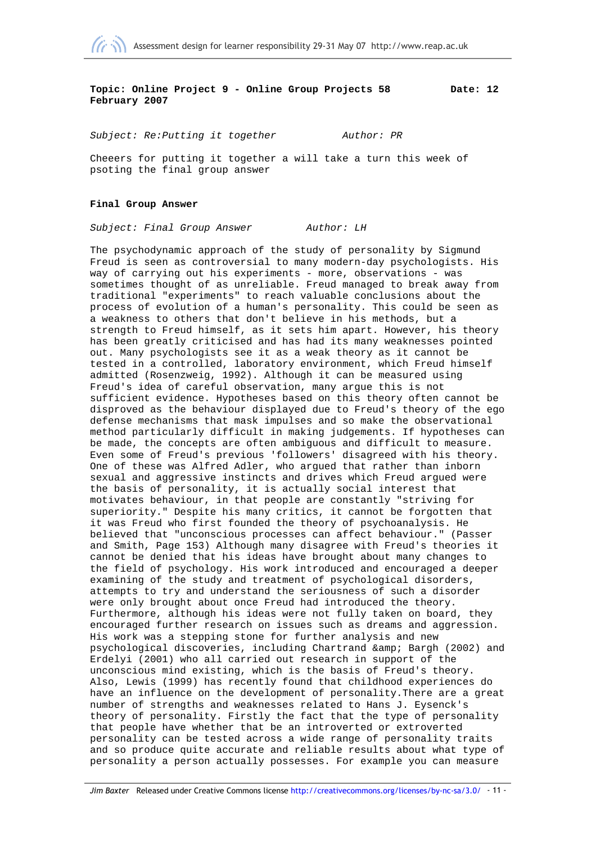

**Topic: Online Project 9 - Online Group Projects 58 Date: 12 February 2007** 

Subject: Re: Putting it together Author: PR

Cheeers for putting it together a will take a turn this week of psoting the final group answer

#### **Final Group Answer**

Subject: Final Group Answer Author: LH

The psychodynamic approach of the study of personality by Sigmund Freud is seen as controversial to many modern-day psychologists. His way of carrying out his experiments - more, observations - was sometimes thought of as unreliable. Freud managed to break away from traditional "experiments" to reach valuable conclusions about the process of evolution of a human's personality. This could be seen as a weakness to others that don't believe in his methods, but a strength to Freud himself, as it sets him apart. However, his theory has been greatly criticised and has had its many weaknesses pointed out. Many psychologists see it as a weak theory as it cannot be tested in a controlled, laboratory environment, which Freud himself admitted (Rosenzweig, 1992). Although it can be measured using Freud's idea of careful observation, many argue this is not sufficient evidence. Hypotheses based on this theory often cannot be disproved as the behaviour displayed due to Freud's theory of the ego defense mechanisms that mask impulses and so make the observational method particularly difficult in making judgements. If hypotheses can be made, the concepts are often ambiguous and difficult to measure. Even some of Freud's previous 'followers' disagreed with his theory. One of these was Alfred Adler, who argued that rather than inborn sexual and aggressive instincts and drives which Freud argued were the basis of personality, it is actually social interest that motivates behaviour, in that people are constantly "striving for superiority." Despite his many critics, it cannot be forgotten that it was Freud who first founded the theory of psychoanalysis. He believed that "unconscious processes can affect behaviour." (Passer and Smith, Page 153) Although many disagree with Freud's theories it cannot be denied that his ideas have brought about many changes to the field of psychology. His work introduced and encouraged a deeper examining of the study and treatment of psychological disorders, attempts to try and understand the seriousness of such a disorder were only brought about once Freud had introduced the theory. Furthermore, although his ideas were not fully taken on board, they encouraged further research on issues such as dreams and aggression. His work was a stepping stone for further analysis and new psychological discoveries, including Chartrand & amp; Bargh (2002) and Erdelyi (2001) who all carried out research in support of the unconscious mind existing, which is the basis of Freud's theory. Also, Lewis (1999) has recently found that childhood experiences do have an influence on the development of personality.There are a great number of strengths and weaknesses related to Hans J. Eysenck's theory of personality. Firstly the fact that the type of personality that people have whether that be an introverted or extroverted personality can be tested across a wide range of personality traits and so produce quite accurate and reliable results about what type of personality a person actually possesses. For example you can measure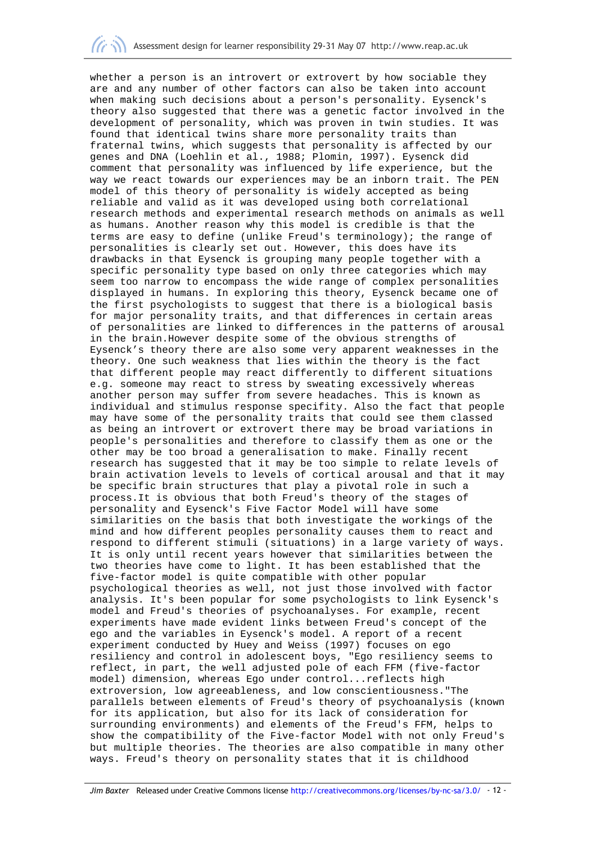whether a person is an introvert or extrovert by how sociable they are and any number of other factors can also be taken into account when making such decisions about a person's personality. Eysenck's theory also suggested that there was a genetic factor involved in the development of personality, which was proven in twin studies. It was found that identical twins share more personality traits than fraternal twins, which suggests that personality is affected by our genes and DNA (Loehlin et al., 1988; Plomin, 1997). Eysenck did comment that personality was influenced by life experience, but the way we react towards our experiences may be an inborn trait. The PEN model of this theory of personality is widely accepted as being reliable and valid as it was developed using both correlational research methods and experimental research methods on animals as well as humans. Another reason why this model is credible is that the terms are easy to define (unlike Freud's terminology); the range of personalities is clearly set out. However, this does have its drawbacks in that Eysenck is grouping many people together with a specific personality type based on only three categories which may seem too narrow to encompass the wide range of complex personalities displayed in humans. In exploring this theory, Eysenck became one of the first psychologists to suggest that there is a biological basis for major personality traits, and that differences in certain areas of personalities are linked to differences in the patterns of arousal in the brain.However despite some of the obvious strengths of Eysenck's theory there are also some very apparent weaknesses in the theory. One such weakness that lies within the theory is the fact that different people may react differently to different situations e.g. someone may react to stress by sweating excessively whereas another person may suffer from severe headaches. This is known as individual and stimulus response specifity. Also the fact that people may have some of the personality traits that could see them classed as being an introvert or extrovert there may be broad variations in people's personalities and therefore to classify them as one or the other may be too broad a generalisation to make. Finally recent research has suggested that it may be too simple to relate levels of brain activation levels to levels of cortical arousal and that it may be specific brain structures that play a pivotal role in such a process.It is obvious that both Freud's theory of the stages of personality and Eysenck's Five Factor Model will have some similarities on the basis that both investigate the workings of the mind and how different peoples personality causes them to react and respond to different stimuli (situations) in a large variety of ways. It is only until recent years however that similarities between the two theories have come to light. It has been established that the five-factor model is quite compatible with other popular psychological theories as well, not just those involved with factor analysis. It's been popular for some psychologists to link Eysenck's model and Freud's theories of psychoanalyses. For example, recent experiments have made evident links between Freud's concept of the ego and the variables in Eysenck's model. A report of a recent experiment conducted by Huey and Weiss (1997) focuses on ego resiliency and control in adolescent boys, "Ego resiliency seems to reflect, in part, the well adjusted pole of each FFM (five-factor model) dimension, whereas Ego under control...reflects high extroversion, low agreeableness, and low conscientiousness."The parallels between elements of Freud's theory of psychoanalysis (known for its application, but also for its lack of consideration for surrounding environments) and elements of the Freud's FFM, helps to show the compatibility of the Five-factor Model with not only Freud's but multiple theories. The theories are also compatible in many other ways. Freud's theory on personality states that it is childhood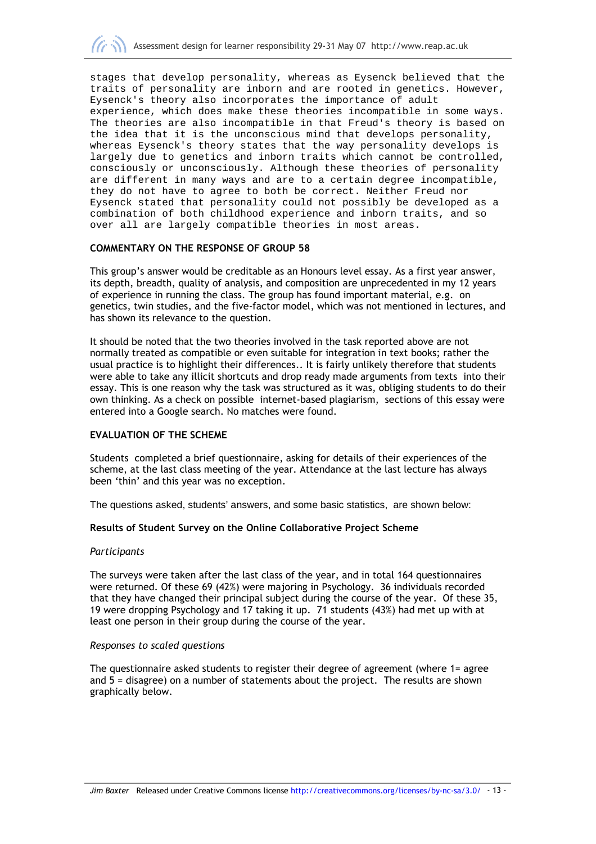

stages that develop personality, whereas as Eysenck believed that the traits of personality are inborn and are rooted in genetics. However, Eysenck's theory also incorporates the importance of adult experience, which does make these theories incompatible in some ways. The theories are also incompatible in that Freud's theory is based on the idea that it is the unconscious mind that develops personality, whereas Eysenck's theory states that the way personality develops is largely due to genetics and inborn traits which cannot be controlled, consciously or unconsciously. Although these theories of personality are different in many ways and are to a certain degree incompatible, they do not have to agree to both be correct. Neither Freud nor Eysenck stated that personality could not possibly be developed as a combination of both childhood experience and inborn traits, and so over all are largely compatible theories in most areas.

## COMMENTARY ON THE RESPONSE OF GROUP 58

This group's answer would be creditable as an Honours level essay. As a first year answer, its depth, breadth, quality of analysis, and composition are unprecedented in my 12 years of experience in running the class. The group has found important material, e.g. on genetics, twin studies, and the five-factor model, which was not mentioned in lectures, and has shown its relevance to the question.

It should be noted that the two theories involved in the task reported above are not normally treated as compatible or even suitable for integration in text books; rather the usual practice is to highlight their differences.. It is fairly unlikely therefore that students were able to take any illicit shortcuts and drop ready made arguments from texts into their essay. This is one reason why the task was structured as it was, obliging students to do their own thinking. As a check on possible internet-based plagiarism, sections of this essay were entered into a Google search. No matches were found.

## EVALUATION OF THE SCHEME

Students completed a brief questionnaire, asking for details of their experiences of the scheme, at the last class meeting of the year. Attendance at the last lecture has always been 'thin' and this year was no exception.

The questions asked, students' answers, and some basic statistics, are shown below:

## Results of Student Survey on the Online Collaborative Project Scheme

#### **Participants**

The surveys were taken after the last class of the year, and in total 164 questionnaires were returned. Of these 69 (42%) were majoring in Psychology. 36 individuals recorded that they have changed their principal subject during the course of the year. Of these 35, 19 were dropping Psychology and 17 taking it up. 71 students (43%) had met up with at least one person in their group during the course of the year.

#### Responses to scaled questions

The questionnaire asked students to register their degree of agreement (where 1= agree and 5 = disagree) on a number of statements about the project. The results are shown graphically below.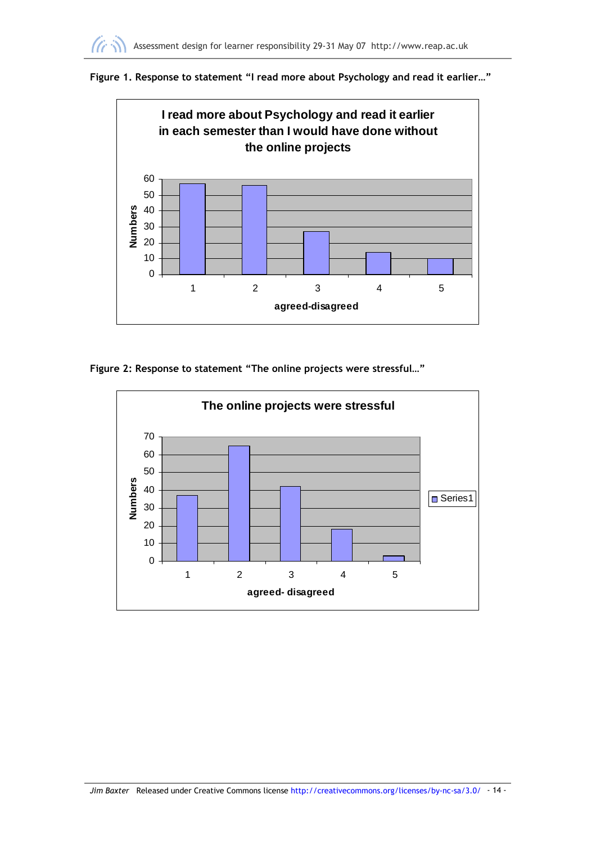





Figure 2: Response to statement "The online projects were stressful…"

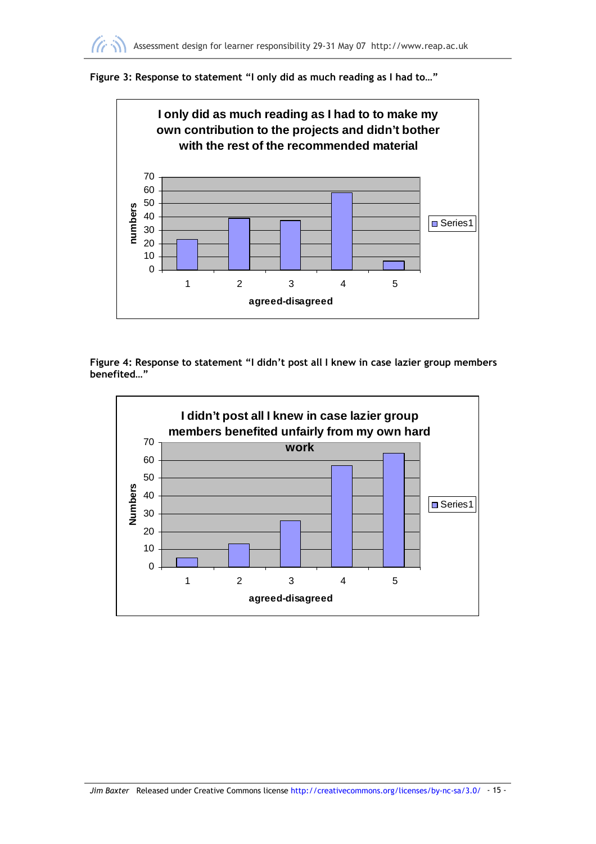





Figure 4: Response to statement "I didn't post all I knew in case lazier group members benefited…"

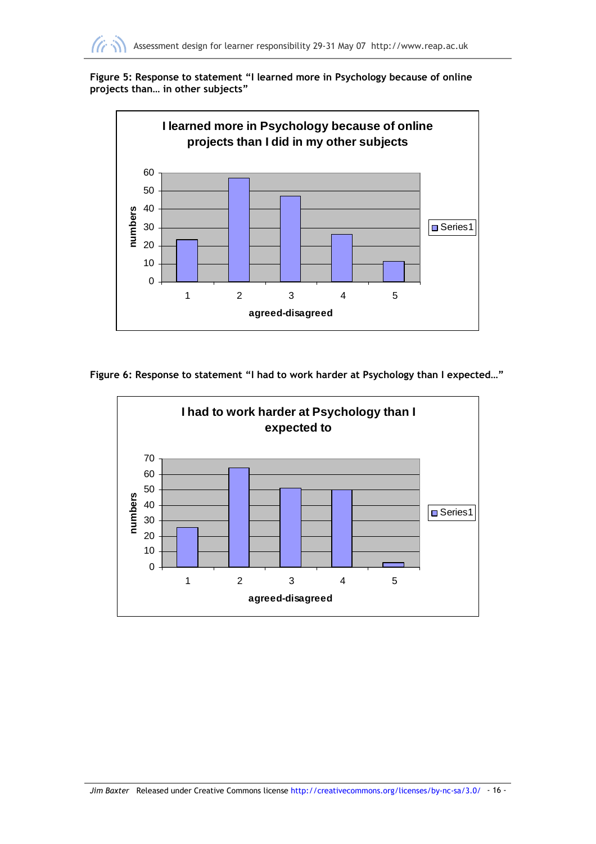

# Figure 5: Response to statement "I learned more in Psychology because of online projects than… in other subjects"



Figure 6: Response to statement "I had to work harder at Psychology than I expected…"

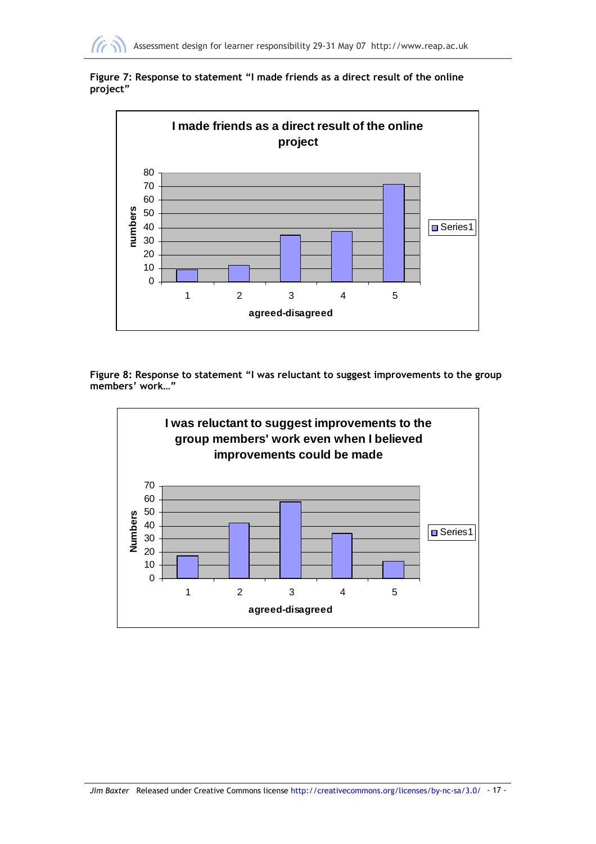

## Figure 7: Response to statement "I made friends as a direct result of the online project"



Figure 8: Response to statement "I was reluctant to suggest improvements to the group members' work…"

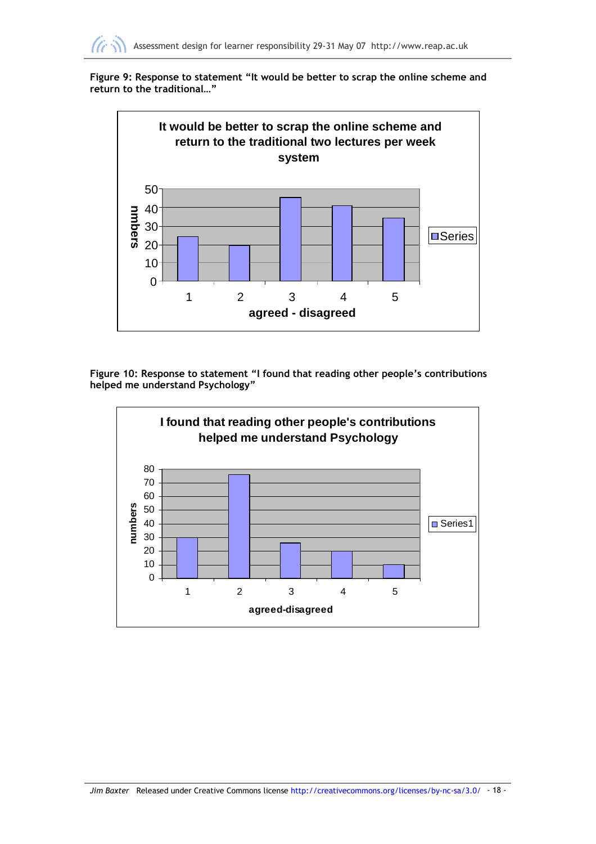

Figure 9: Response to statement "It would be better to scrap the online scheme and return to the traditional…"



Figure 10: Response to statement "I found that reading other people's contributions helped me understand Psychology"

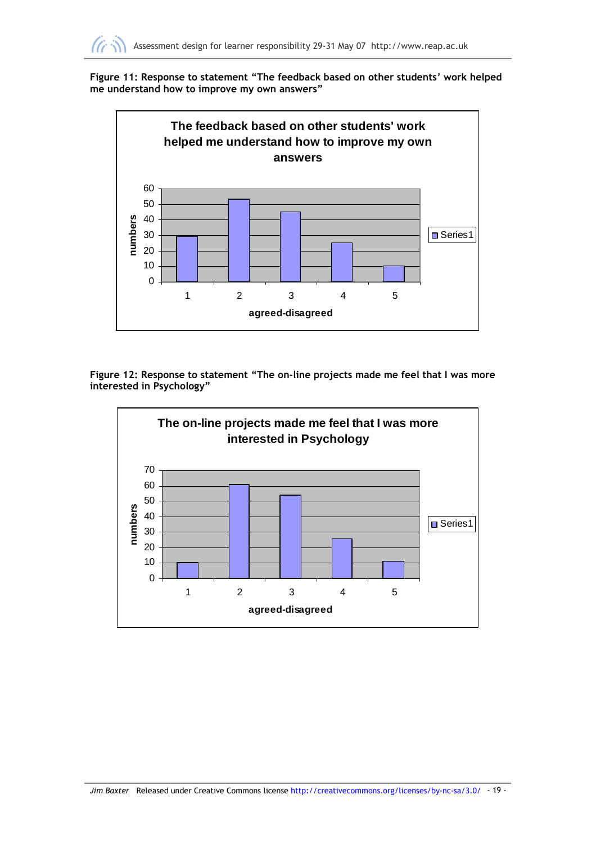

Figure 11: Response to statement "The feedback based on other students' work helped me understand how to improve my own answers"



Figure 12: Response to statement "The on-line projects made me feel that I was more interested in Psychology"

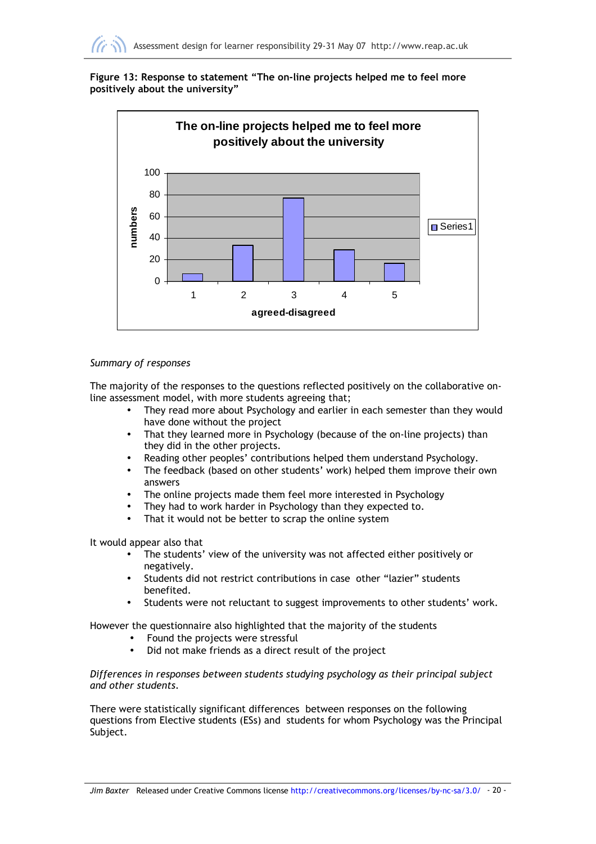

## Figure 13: Response to statement "The on-line projects helped me to feel more positively about the university"



# Summary of responses

The majority of the responses to the questions reflected positively on the collaborative online assessment model, with more students agreeing that;

- They read more about Psychology and earlier in each semester than they would have done without the project
- That they learned more in Psychology (because of the on-line projects) than they did in the other projects.
- Reading other peoples' contributions helped them understand Psychology.
- The feedback (based on other students' work) helped them improve their own answers
- The online projects made them feel more interested in Psychology
- They had to work harder in Psychology than they expected to.
- That it would not be better to scrap the online system

It would appear also that

- The students' view of the university was not affected either positively or negatively.
- Students did not restrict contributions in case other "lazier" students benefited.
- Students were not reluctant to suggest improvements to other students' work.

However the questionnaire also highlighted that the majority of the students

- Found the projects were stressful
- Did not make friends as a direct result of the project

## Differences in responses between students studying psychology as their principal subject and other students.

There were statistically significant differences between responses on the following questions from Elective students (ESs) and students for whom Psychology was the Principal Subject.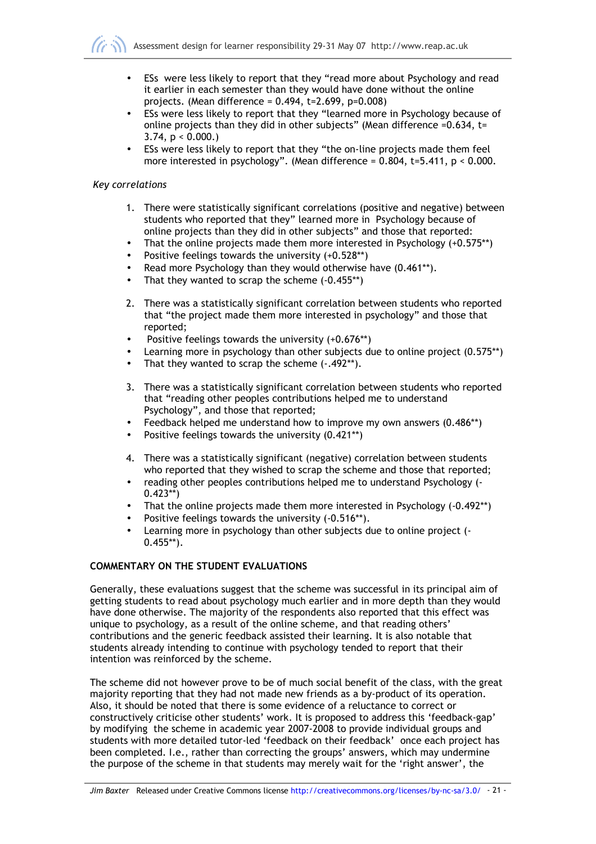- ESs were less likely to report that they "read more about Psychology and read it earlier in each semester than they would have done without the online projects. (Mean difference = 0.494, t=2.699, p=0.008)
- ESs were less likely to report that they "learned more in Psychology because of online projects than they did in other subjects" (Mean difference =0.634, t= 3.74,  $p < 0.000$ .)
- ESs were less likely to report that they "the on-line projects made them feel more interested in psychology". (Mean difference =  $0.804$ , t=5.411, p <  $0.000$ .

## Key correlations

- 1. There were statistically significant correlations (positive and negative) between students who reported that they" learned more in Psychology because of online projects than they did in other subjects" and those that reported:
- That the online projects made them more interested in Psychology  $(+0.575**)$
- Positive feelings towards the university  $(+0.528**)$
- Read more Psychology than they would otherwise have (0.461\*\*).
- That they wanted to scrap the scheme  $(-0.455**)$
- 2. There was a statistically significant correlation between students who reported that "the project made them more interested in psychology" and those that reported;
- Positive feelings towards the university (+0.676\*\*)
- Learning more in psychology than other subjects due to online project (0.575\*\*)
- That they wanted to scrap the scheme  $(-.492**)$ .
- 3. There was a statistically significant correlation between students who reported that "reading other peoples contributions helped me to understand Psychology", and those that reported;
- Feedback helped me understand how to improve my own answers (0.486\*\*)
- Positive feelings towards the university (0.421\*\*)
- 4. There was a statistically significant (negative) correlation between students who reported that they wished to scrap the scheme and those that reported;
- reading other peoples contributions helped me to understand Psychology (-  $0.423**$
- That the online projects made them more interested in Psychology (-0.492\*\*)
- Positive feelings towards the university (-0.516\*\*).
- Learning more in psychology than other subjects due to online project (-  $0.455**$ ).

# COMMENTARY ON THE STUDENT EVALUATIONS

Generally, these evaluations suggest that the scheme was successful in its principal aim of getting students to read about psychology much earlier and in more depth than they would have done otherwise. The majority of the respondents also reported that this effect was unique to psychology, as a result of the online scheme, and that reading others' contributions and the generic feedback assisted their learning. It is also notable that students already intending to continue with psychology tended to report that their intention was reinforced by the scheme.

The scheme did not however prove to be of much social benefit of the class, with the great majority reporting that they had not made new friends as a by-product of its operation. Also, it should be noted that there is some evidence of a reluctance to correct or constructively criticise other students' work. It is proposed to address this 'feedback-gap' by modifying the scheme in academic year 2007-2008 to provide individual groups and students with more detailed tutor-led 'feedback on their feedback' once each project has been completed. I.e., rather than correcting the groups' answers, which may undermine the purpose of the scheme in that students may merely wait for the 'right answer', the